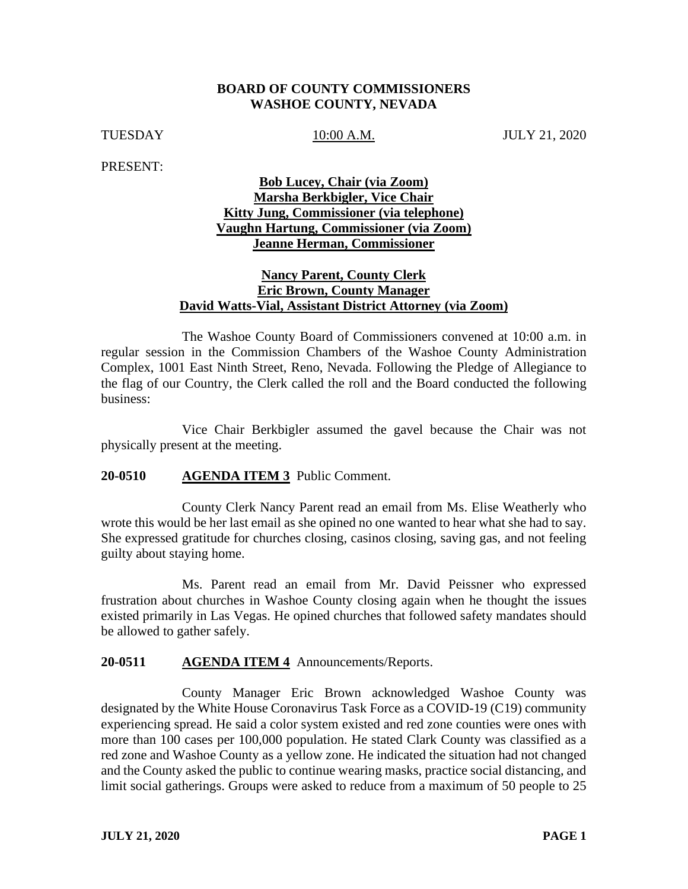## **BOARD OF COUNTY COMMISSIONERS WASHOE COUNTY, NEVADA**

TUESDAY 10:00 A.M. JULY 21, 2020

PRESENT:

# **Bob Lucey, Chair (via Zoom) Marsha Berkbigler, Vice Chair Kitty Jung, Commissioner (via telephone) Vaughn Hartung, Commissioner (via Zoom) Jeanne Herman, Commissioner**

# **Nancy Parent, County Clerk Eric Brown, County Manager David Watts-Vial, Assistant District Attorney (via Zoom)**

The Washoe County Board of Commissioners convened at 10:00 a.m. in regular session in the Commission Chambers of the Washoe County Administration Complex, 1001 East Ninth Street, Reno, Nevada. Following the Pledge of Allegiance to the flag of our Country, the Clerk called the roll and the Board conducted the following business:

Vice Chair Berkbigler assumed the gavel because the Chair was not physically present at the meeting.

# **20-0510 AGENDA ITEM 3** Public Comment.

County Clerk Nancy Parent read an email from Ms. Elise Weatherly who wrote this would be her last email as she opined no one wanted to hear what she had to say. She expressed gratitude for churches closing, casinos closing, saving gas, and not feeling guilty about staying home.

Ms. Parent read an email from Mr. David Peissner who expressed frustration about churches in Washoe County closing again when he thought the issues existed primarily in Las Vegas. He opined churches that followed safety mandates should be allowed to gather safely.

## **20-0511 AGENDA ITEM 4** Announcements/Reports.

County Manager Eric Brown acknowledged Washoe County was designated by the White House Coronavirus Task Force as a COVID-19 (C19) community experiencing spread. He said a color system existed and red zone counties were ones with more than 100 cases per 100,000 population. He stated Clark County was classified as a red zone and Washoe County as a yellow zone. He indicated the situation had not changed and the County asked the public to continue wearing masks, practice social distancing, and limit social gatherings. Groups were asked to reduce from a maximum of 50 people to 25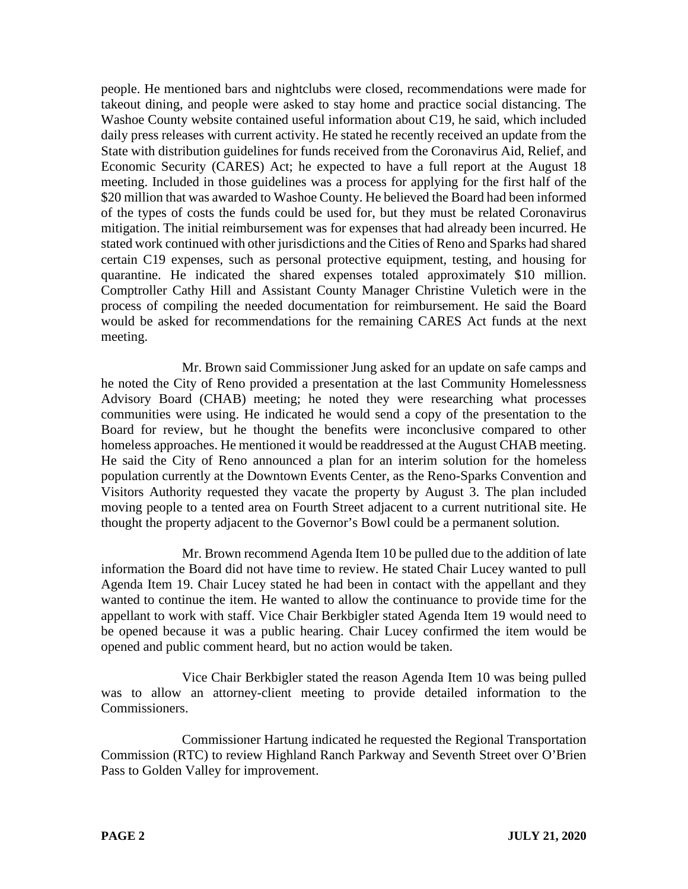people. He mentioned bars and nightclubs were closed, recommendations were made for takeout dining, and people were asked to stay home and practice social distancing. The Washoe County website contained useful information about C19, he said, which included daily press releases with current activity. He stated he recently received an update from the State with distribution guidelines for funds received from the Coronavirus Aid, Relief, and Economic Security (CARES) Act; he expected to have a full report at the August 18 meeting. Included in those guidelines was a process for applying for the first half of the \$20 million that was awarded to Washoe County. He believed the Board had been informed of the types of costs the funds could be used for, but they must be related Coronavirus mitigation. The initial reimbursement was for expenses that had already been incurred. He stated work continued with other jurisdictions and the Cities of Reno and Sparks had shared certain C19 expenses, such as personal protective equipment, testing, and housing for quarantine. He indicated the shared expenses totaled approximately \$10 million. Comptroller Cathy Hill and Assistant County Manager Christine Vuletich were in the process of compiling the needed documentation for reimbursement. He said the Board would be asked for recommendations for the remaining CARES Act funds at the next meeting.

Mr. Brown said Commissioner Jung asked for an update on safe camps and he noted the City of Reno provided a presentation at the last Community Homelessness Advisory Board (CHAB) meeting; he noted they were researching what processes communities were using. He indicated he would send a copy of the presentation to the Board for review, but he thought the benefits were inconclusive compared to other homeless approaches. He mentioned it would be readdressed at the August CHAB meeting. He said the City of Reno announced a plan for an interim solution for the homeless population currently at the Downtown Events Center, as the Reno-Sparks Convention and Visitors Authority requested they vacate the property by August 3. The plan included moving people to a tented area on Fourth Street adjacent to a current nutritional site. He thought the property adjacent to the Governor's Bowl could be a permanent solution.

Mr. Brown recommend Agenda Item 10 be pulled due to the addition of late information the Board did not have time to review. He stated Chair Lucey wanted to pull Agenda Item 19. Chair Lucey stated he had been in contact with the appellant and they wanted to continue the item. He wanted to allow the continuance to provide time for the appellant to work with staff. Vice Chair Berkbigler stated Agenda Item 19 would need to be opened because it was a public hearing. Chair Lucey confirmed the item would be opened and public comment heard, but no action would be taken.

Vice Chair Berkbigler stated the reason Agenda Item 10 was being pulled was to allow an attorney-client meeting to provide detailed information to the Commissioners.

Commissioner Hartung indicated he requested the Regional Transportation Commission (RTC) to review Highland Ranch Parkway and Seventh Street over O'Brien Pass to Golden Valley for improvement.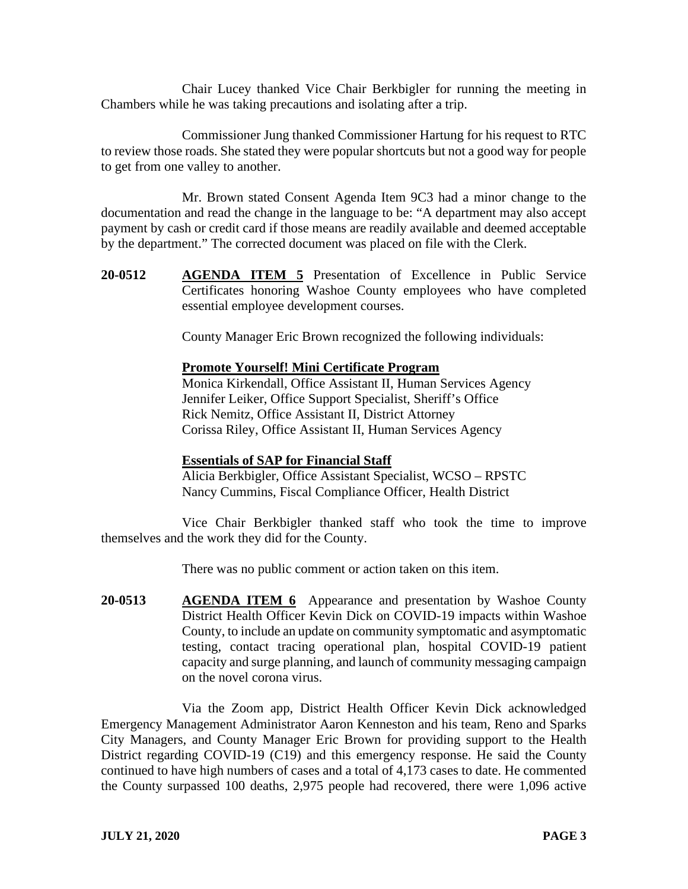Chair Lucey thanked Vice Chair Berkbigler for running the meeting in Chambers while he was taking precautions and isolating after a trip.

Commissioner Jung thanked Commissioner Hartung for his request to RTC to review those roads. She stated they were popular shortcuts but not a good way for people to get from one valley to another.

Mr. Brown stated Consent Agenda Item 9C3 had a minor change to the documentation and read the change in the language to be: "A department may also accept payment by cash or credit card if those means are readily available and deemed acceptable by the department." The corrected document was placed on file with the Clerk.

**20-0512 AGENDA ITEM 5** Presentation of Excellence in Public Service Certificates honoring Washoe County employees who have completed essential employee development courses.

County Manager Eric Brown recognized the following individuals:

### **Promote Yourself! Mini Certificate Program**

Monica Kirkendall, Office Assistant II, Human Services Agency Jennifer Leiker, Office Support Specialist, Sheriff's Office Rick Nemitz, Office Assistant II, District Attorney Corissa Riley, Office Assistant II, Human Services Agency

### **Essentials of SAP for Financial Staff**

Alicia Berkbigler, Office Assistant Specialist, WCSO – RPSTC Nancy Cummins, Fiscal Compliance Officer, Health District

Vice Chair Berkbigler thanked staff who took the time to improve themselves and the work they did for the County.

There was no public comment or action taken on this item.

**20-0513 AGENDA ITEM 6** Appearance and presentation by Washoe County District Health Officer Kevin Dick on COVID-19 impacts within Washoe County, to include an update on community symptomatic and asymptomatic testing, contact tracing operational plan, hospital COVID-19 patient capacity and surge planning, and launch of community messaging campaign on the novel corona virus.

Via the Zoom app, District Health Officer Kevin Dick acknowledged Emergency Management Administrator Aaron Kenneston and his team, Reno and Sparks City Managers, and County Manager Eric Brown for providing support to the Health District regarding COVID-19 (C19) and this emergency response. He said the County continued to have high numbers of cases and a total of 4,173 cases to date. He commented the County surpassed 100 deaths, 2,975 people had recovered, there were 1,096 active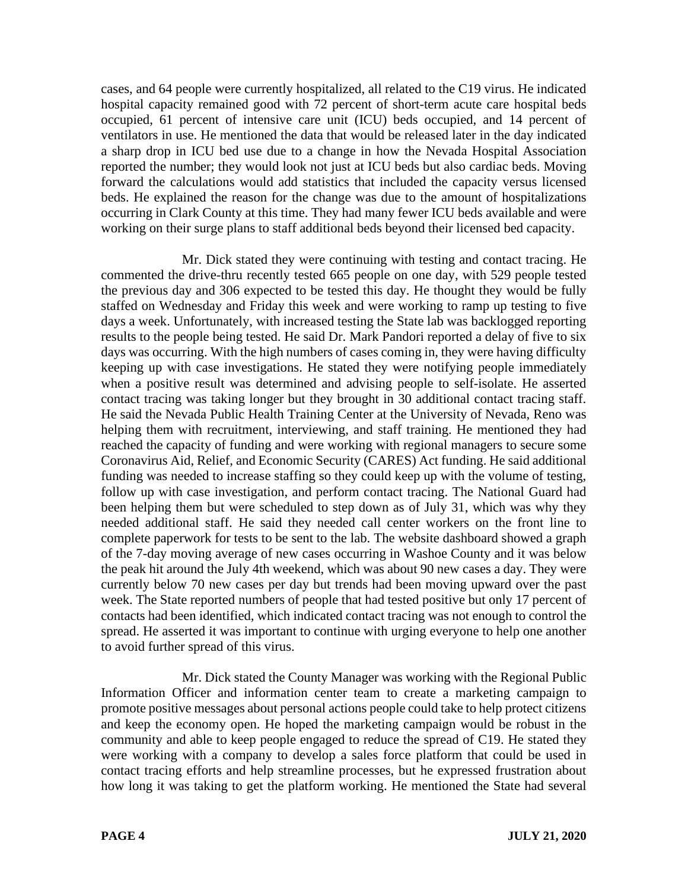cases, and 64 people were currently hospitalized, all related to the C19 virus. He indicated hospital capacity remained good with 72 percent of short-term acute care hospital beds occupied, 61 percent of intensive care unit (ICU) beds occupied, and 14 percent of ventilators in use. He mentioned the data that would be released later in the day indicated a sharp drop in ICU bed use due to a change in how the Nevada Hospital Association reported the number; they would look not just at ICU beds but also cardiac beds. Moving forward the calculations would add statistics that included the capacity versus licensed beds. He explained the reason for the change was due to the amount of hospitalizations occurring in Clark County at this time. They had many fewer ICU beds available and were working on their surge plans to staff additional beds beyond their licensed bed capacity.

Mr. Dick stated they were continuing with testing and contact tracing. He commented the drive-thru recently tested 665 people on one day, with 529 people tested the previous day and 306 expected to be tested this day. He thought they would be fully staffed on Wednesday and Friday this week and were working to ramp up testing to five days a week. Unfortunately, with increased testing the State lab was backlogged reporting results to the people being tested. He said Dr. Mark Pandori reported a delay of five to six days was occurring. With the high numbers of cases coming in, they were having difficulty keeping up with case investigations. He stated they were notifying people immediately when a positive result was determined and advising people to self-isolate. He asserted contact tracing was taking longer but they brought in 30 additional contact tracing staff. He said the Nevada Public Health Training Center at the University of Nevada, Reno was helping them with recruitment, interviewing, and staff training. He mentioned they had reached the capacity of funding and were working with regional managers to secure some Coronavirus Aid, Relief, and Economic Security (CARES) Act funding. He said additional funding was needed to increase staffing so they could keep up with the volume of testing, follow up with case investigation, and perform contact tracing. The National Guard had been helping them but were scheduled to step down as of July 31, which was why they needed additional staff. He said they needed call center workers on the front line to complete paperwork for tests to be sent to the lab. The website dashboard showed a graph of the 7-day moving average of new cases occurring in Washoe County and it was below the peak hit around the July 4th weekend, which was about 90 new cases a day. They were currently below 70 new cases per day but trends had been moving upward over the past week. The State reported numbers of people that had tested positive but only 17 percent of contacts had been identified, which indicated contact tracing was not enough to control the spread. He asserted it was important to continue with urging everyone to help one another to avoid further spread of this virus.

Mr. Dick stated the County Manager was working with the Regional Public Information Officer and information center team to create a marketing campaign to promote positive messages about personal actions people could take to help protect citizens and keep the economy open. He hoped the marketing campaign would be robust in the community and able to keep people engaged to reduce the spread of C19. He stated they were working with a company to develop a sales force platform that could be used in contact tracing efforts and help streamline processes, but he expressed frustration about how long it was taking to get the platform working. He mentioned the State had several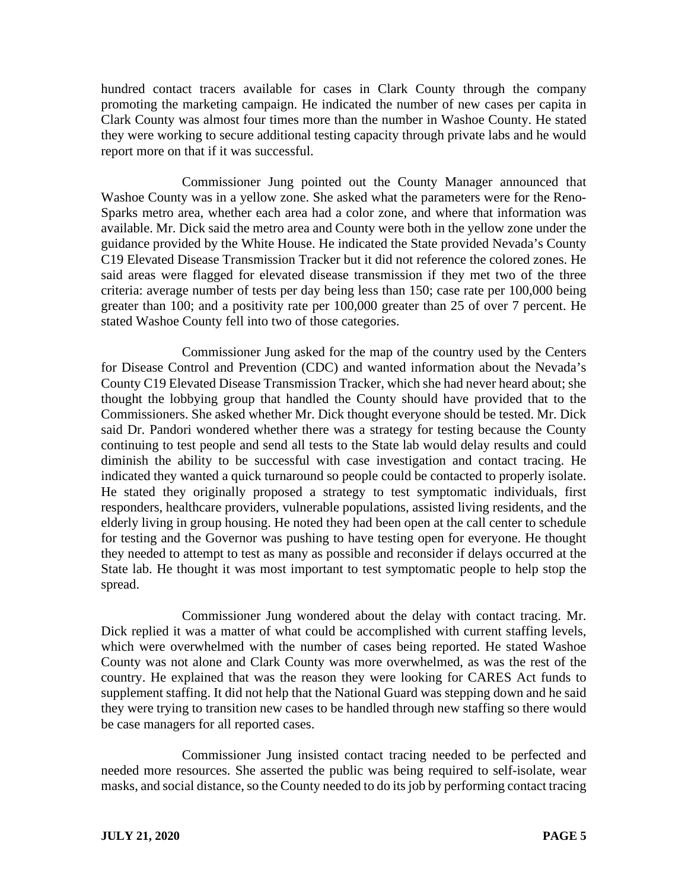hundred contact tracers available for cases in Clark County through the company promoting the marketing campaign. He indicated the number of new cases per capita in Clark County was almost four times more than the number in Washoe County. He stated they were working to secure additional testing capacity through private labs and he would report more on that if it was successful.

Commissioner Jung pointed out the County Manager announced that Washoe County was in a yellow zone. She asked what the parameters were for the Reno-Sparks metro area, whether each area had a color zone, and where that information was available. Mr. Dick said the metro area and County were both in the yellow zone under the guidance provided by the White House. He indicated the State provided Nevada's County C19 Elevated Disease Transmission Tracker but it did not reference the colored zones. He said areas were flagged for elevated disease transmission if they met two of the three criteria: average number of tests per day being less than 150; case rate per 100,000 being greater than 100; and a positivity rate per 100,000 greater than 25 of over 7 percent. He stated Washoe County fell into two of those categories.

Commissioner Jung asked for the map of the country used by the Centers for Disease Control and Prevention (CDC) and wanted information about the Nevada's County C19 Elevated Disease Transmission Tracker, which she had never heard about; she thought the lobbying group that handled the County should have provided that to the Commissioners. She asked whether Mr. Dick thought everyone should be tested. Mr. Dick said Dr. Pandori wondered whether there was a strategy for testing because the County continuing to test people and send all tests to the State lab would delay results and could diminish the ability to be successful with case investigation and contact tracing. He indicated they wanted a quick turnaround so people could be contacted to properly isolate. He stated they originally proposed a strategy to test symptomatic individuals, first responders, healthcare providers, vulnerable populations, assisted living residents, and the elderly living in group housing. He noted they had been open at the call center to schedule for testing and the Governor was pushing to have testing open for everyone. He thought they needed to attempt to test as many as possible and reconsider if delays occurred at the State lab. He thought it was most important to test symptomatic people to help stop the spread.

Commissioner Jung wondered about the delay with contact tracing. Mr. Dick replied it was a matter of what could be accomplished with current staffing levels, which were overwhelmed with the number of cases being reported. He stated Washoe County was not alone and Clark County was more overwhelmed, as was the rest of the country. He explained that was the reason they were looking for CARES Act funds to supplement staffing. It did not help that the National Guard was stepping down and he said they were trying to transition new cases to be handled through new staffing so there would be case managers for all reported cases.

Commissioner Jung insisted contact tracing needed to be perfected and needed more resources. She asserted the public was being required to self-isolate, wear masks, and social distance, so the County needed to do its job by performing contact tracing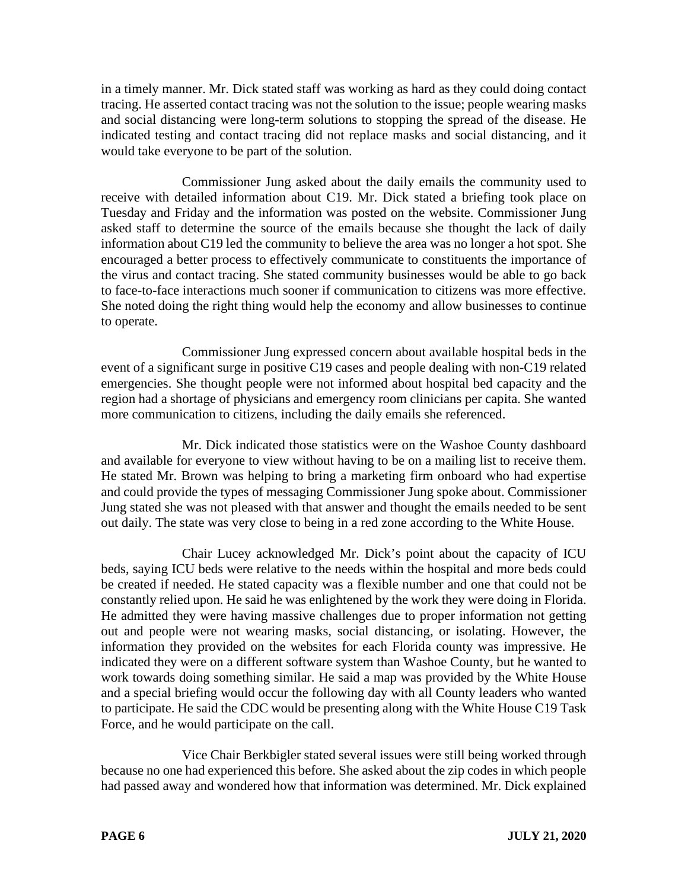in a timely manner. Mr. Dick stated staff was working as hard as they could doing contact tracing. He asserted contact tracing was not the solution to the issue; people wearing masks and social distancing were long-term solutions to stopping the spread of the disease. He indicated testing and contact tracing did not replace masks and social distancing, and it would take everyone to be part of the solution.

Commissioner Jung asked about the daily emails the community used to receive with detailed information about C19. Mr. Dick stated a briefing took place on Tuesday and Friday and the information was posted on the website. Commissioner Jung asked staff to determine the source of the emails because she thought the lack of daily information about C19 led the community to believe the area was no longer a hot spot. She encouraged a better process to effectively communicate to constituents the importance of the virus and contact tracing. She stated community businesses would be able to go back to face-to-face interactions much sooner if communication to citizens was more effective. She noted doing the right thing would help the economy and allow businesses to continue to operate.

Commissioner Jung expressed concern about available hospital beds in the event of a significant surge in positive C19 cases and people dealing with non-C19 related emergencies. She thought people were not informed about hospital bed capacity and the region had a shortage of physicians and emergency room clinicians per capita. She wanted more communication to citizens, including the daily emails she referenced.

Mr. Dick indicated those statistics were on the Washoe County dashboard and available for everyone to view without having to be on a mailing list to receive them. He stated Mr. Brown was helping to bring a marketing firm onboard who had expertise and could provide the types of messaging Commissioner Jung spoke about. Commissioner Jung stated she was not pleased with that answer and thought the emails needed to be sent out daily. The state was very close to being in a red zone according to the White House.

Chair Lucey acknowledged Mr. Dick's point about the capacity of ICU beds, saying ICU beds were relative to the needs within the hospital and more beds could be created if needed. He stated capacity was a flexible number and one that could not be constantly relied upon. He said he was enlightened by the work they were doing in Florida. He admitted they were having massive challenges due to proper information not getting out and people were not wearing masks, social distancing, or isolating. However, the information they provided on the websites for each Florida county was impressive. He indicated they were on a different software system than Washoe County, but he wanted to work towards doing something similar. He said a map was provided by the White House and a special briefing would occur the following day with all County leaders who wanted to participate. He said the CDC would be presenting along with the White House C19 Task Force, and he would participate on the call.

Vice Chair Berkbigler stated several issues were still being worked through because no one had experienced this before. She asked about the zip codes in which people had passed away and wondered how that information was determined. Mr. Dick explained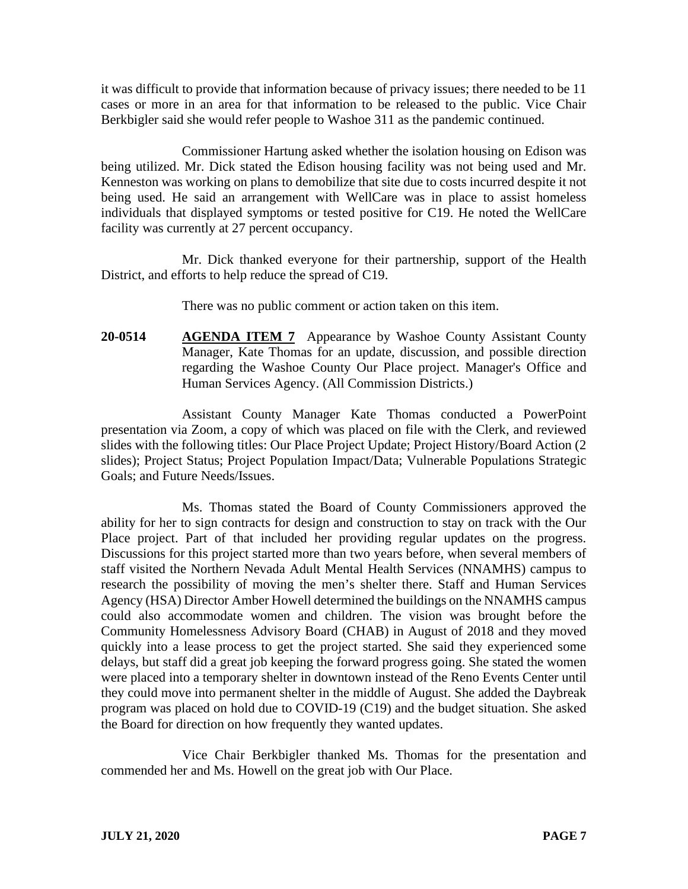it was difficult to provide that information because of privacy issues; there needed to be 11 cases or more in an area for that information to be released to the public. Vice Chair Berkbigler said she would refer people to Washoe 311 as the pandemic continued.

Commissioner Hartung asked whether the isolation housing on Edison was being utilized. Mr. Dick stated the Edison housing facility was not being used and Mr. Kenneston was working on plans to demobilize that site due to costs incurred despite it not being used. He said an arrangement with WellCare was in place to assist homeless individuals that displayed symptoms or tested positive for C19. He noted the WellCare facility was currently at 27 percent occupancy.

Mr. Dick thanked everyone for their partnership, support of the Health District, and efforts to help reduce the spread of C19.

There was no public comment or action taken on this item.

**20-0514 AGENDA ITEM 7** Appearance by Washoe County Assistant County Manager, Kate Thomas for an update, discussion, and possible direction regarding the Washoe County Our Place project. Manager's Office and Human Services Agency. (All Commission Districts.)

Assistant County Manager Kate Thomas conducted a PowerPoint presentation via Zoom, a copy of which was placed on file with the Clerk, and reviewed slides with the following titles: Our Place Project Update; Project History/Board Action (2 slides); Project Status; Project Population Impact/Data; Vulnerable Populations Strategic Goals; and Future Needs/Issues.

Ms. Thomas stated the Board of County Commissioners approved the ability for her to sign contracts for design and construction to stay on track with the Our Place project. Part of that included her providing regular updates on the progress. Discussions for this project started more than two years before, when several members of staff visited the Northern Nevada Adult Mental Health Services (NNAMHS) campus to research the possibility of moving the men's shelter there. Staff and Human Services Agency (HSA) Director Amber Howell determined the buildings on the NNAMHS campus could also accommodate women and children. The vision was brought before the Community Homelessness Advisory Board (CHAB) in August of 2018 and they moved quickly into a lease process to get the project started. She said they experienced some delays, but staff did a great job keeping the forward progress going. She stated the women were placed into a temporary shelter in downtown instead of the Reno Events Center until they could move into permanent shelter in the middle of August. She added the Daybreak program was placed on hold due to COVID-19 (C19) and the budget situation. She asked the Board for direction on how frequently they wanted updates.

Vice Chair Berkbigler thanked Ms. Thomas for the presentation and commended her and Ms. Howell on the great job with Our Place.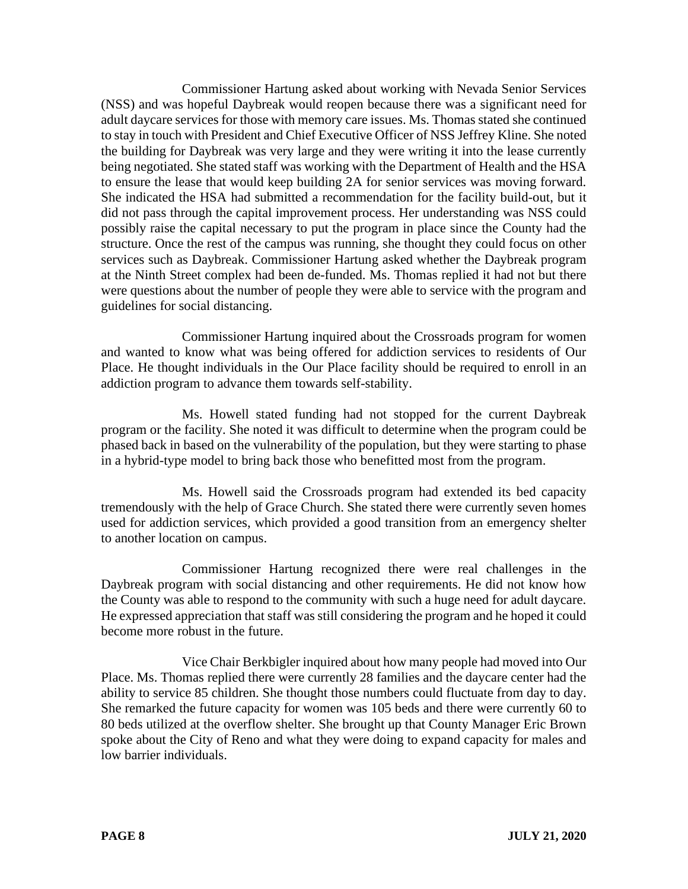Commissioner Hartung asked about working with Nevada Senior Services (NSS) and was hopeful Daybreak would reopen because there was a significant need for adult daycare services for those with memory care issues. Ms. Thomas stated she continued to stay in touch with President and Chief Executive Officer of NSS Jeffrey Kline. She noted the building for Daybreak was very large and they were writing it into the lease currently being negotiated. She stated staff was working with the Department of Health and the HSA to ensure the lease that would keep building 2A for senior services was moving forward. She indicated the HSA had submitted a recommendation for the facility build-out, but it did not pass through the capital improvement process. Her understanding was NSS could possibly raise the capital necessary to put the program in place since the County had the structure. Once the rest of the campus was running, she thought they could focus on other services such as Daybreak. Commissioner Hartung asked whether the Daybreak program at the Ninth Street complex had been de-funded. Ms. Thomas replied it had not but there were questions about the number of people they were able to service with the program and guidelines for social distancing.

Commissioner Hartung inquired about the Crossroads program for women and wanted to know what was being offered for addiction services to residents of Our Place. He thought individuals in the Our Place facility should be required to enroll in an addiction program to advance them towards self-stability.

Ms. Howell stated funding had not stopped for the current Daybreak program or the facility. She noted it was difficult to determine when the program could be phased back in based on the vulnerability of the population, but they were starting to phase in a hybrid-type model to bring back those who benefitted most from the program.

Ms. Howell said the Crossroads program had extended its bed capacity tremendously with the help of Grace Church. She stated there were currently seven homes used for addiction services, which provided a good transition from an emergency shelter to another location on campus.

Commissioner Hartung recognized there were real challenges in the Daybreak program with social distancing and other requirements. He did not know how the County was able to respond to the community with such a huge need for adult daycare. He expressed appreciation that staff was still considering the program and he hoped it could become more robust in the future.

Vice Chair Berkbigler inquired about how many people had moved into Our Place. Ms. Thomas replied there were currently 28 families and the daycare center had the ability to service 85 children. She thought those numbers could fluctuate from day to day. She remarked the future capacity for women was 105 beds and there were currently 60 to 80 beds utilized at the overflow shelter. She brought up that County Manager Eric Brown spoke about the City of Reno and what they were doing to expand capacity for males and low barrier individuals.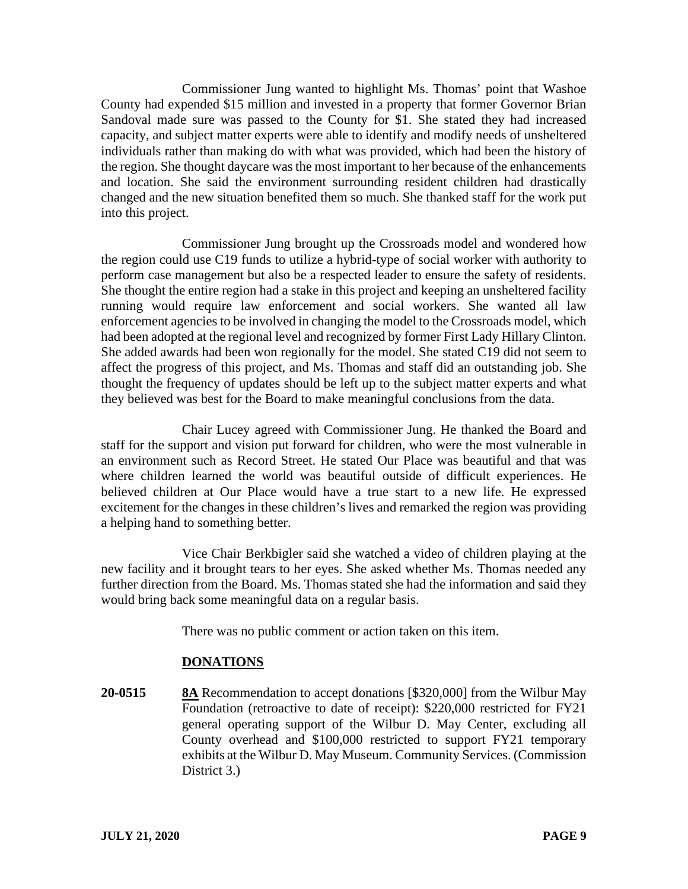Commissioner Jung wanted to highlight Ms. Thomas' point that Washoe County had expended \$15 million and invested in a property that former Governor Brian Sandoval made sure was passed to the County for \$1. She stated they had increased capacity, and subject matter experts were able to identify and modify needs of unsheltered individuals rather than making do with what was provided, which had been the history of the region. She thought daycare was the most important to her because of the enhancements and location. She said the environment surrounding resident children had drastically changed and the new situation benefited them so much. She thanked staff for the work put into this project.

Commissioner Jung brought up the Crossroads model and wondered how the region could use C19 funds to utilize a hybrid-type of social worker with authority to perform case management but also be a respected leader to ensure the safety of residents. She thought the entire region had a stake in this project and keeping an unsheltered facility running would require law enforcement and social workers. She wanted all law enforcement agencies to be involved in changing the model to the Crossroads model, which had been adopted at the regional level and recognized by former First Lady Hillary Clinton. She added awards had been won regionally for the model. She stated C19 did not seem to affect the progress of this project, and Ms. Thomas and staff did an outstanding job. She thought the frequency of updates should be left up to the subject matter experts and what they believed was best for the Board to make meaningful conclusions from the data.

Chair Lucey agreed with Commissioner Jung. He thanked the Board and staff for the support and vision put forward for children, who were the most vulnerable in an environment such as Record Street. He stated Our Place was beautiful and that was where children learned the world was beautiful outside of difficult experiences. He believed children at Our Place would have a true start to a new life. He expressed excitement for the changes in these children's lives and remarked the region was providing a helping hand to something better.

Vice Chair Berkbigler said she watched a video of children playing at the new facility and it brought tears to her eyes. She asked whether Ms. Thomas needed any further direction from the Board. Ms. Thomas stated she had the information and said they would bring back some meaningful data on a regular basis.

There was no public comment or action taken on this item.

# **DONATIONS**

**20-0515 8A** Recommendation to accept donations [\$320,000] from the Wilbur May Foundation (retroactive to date of receipt): \$220,000 restricted for FY21 general operating support of the Wilbur D. May Center, excluding all County overhead and \$100,000 restricted to support FY21 temporary exhibits at the Wilbur D. May Museum. Community Services. (Commission District 3.)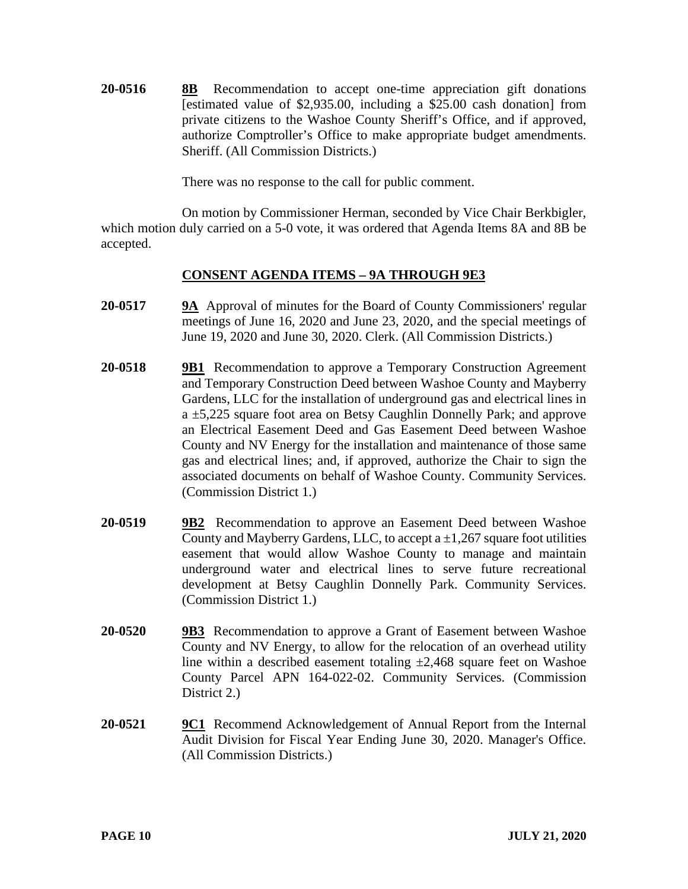**20-0516 8B** Recommendation to accept one-time appreciation gift donations [estimated value of \$2,935.00, including a \$25.00 cash donation] from private citizens to the Washoe County Sheriff's Office, and if approved, authorize Comptroller's Office to make appropriate budget amendments. Sheriff. (All Commission Districts.)

There was no response to the call for public comment.

On motion by Commissioner Herman, seconded by Vice Chair Berkbigler, which motion duly carried on a 5-0 vote, it was ordered that Agenda Items 8A and 8B be accepted.

# **CONSENT AGENDA ITEMS – 9A THROUGH 9E3**

- **20-0517 9A** Approval of minutes for the Board of County Commissioners' regular meetings of June 16, 2020 and June 23, 2020, and the special meetings of June 19, 2020 and June 30, 2020. Clerk. (All Commission Districts.)
- **20-0518 9B1** Recommendation to approve a Temporary Construction Agreement and Temporary Construction Deed between Washoe County and Mayberry Gardens, LLC for the installation of underground gas and electrical lines in a ±5,225 square foot area on Betsy Caughlin Donnelly Park; and approve an Electrical Easement Deed and Gas Easement Deed between Washoe County and NV Energy for the installation and maintenance of those same gas and electrical lines; and, if approved, authorize the Chair to sign the associated documents on behalf of Washoe County. Community Services. (Commission District 1.)
- **20-0519 9B2** Recommendation to approve an Easement Deed between Washoe County and Mayberry Gardens, LLC, to accept a  $\pm 1,267$  square foot utilities easement that would allow Washoe County to manage and maintain underground water and electrical lines to serve future recreational development at Betsy Caughlin Donnelly Park. Community Services. (Commission District 1.)
- **20-0520 9B3** Recommendation to approve a Grant of Easement between Washoe County and NV Energy, to allow for the relocation of an overhead utility line within a described easement totaling  $\pm 2,468$  square feet on Washoe County Parcel APN 164-022-02. Community Services. (Commission District 2.)
- **20-0521 9C1** Recommend Acknowledgement of Annual Report from the Internal Audit Division for Fiscal Year Ending June 30, 2020. Manager's Office. (All Commission Districts.)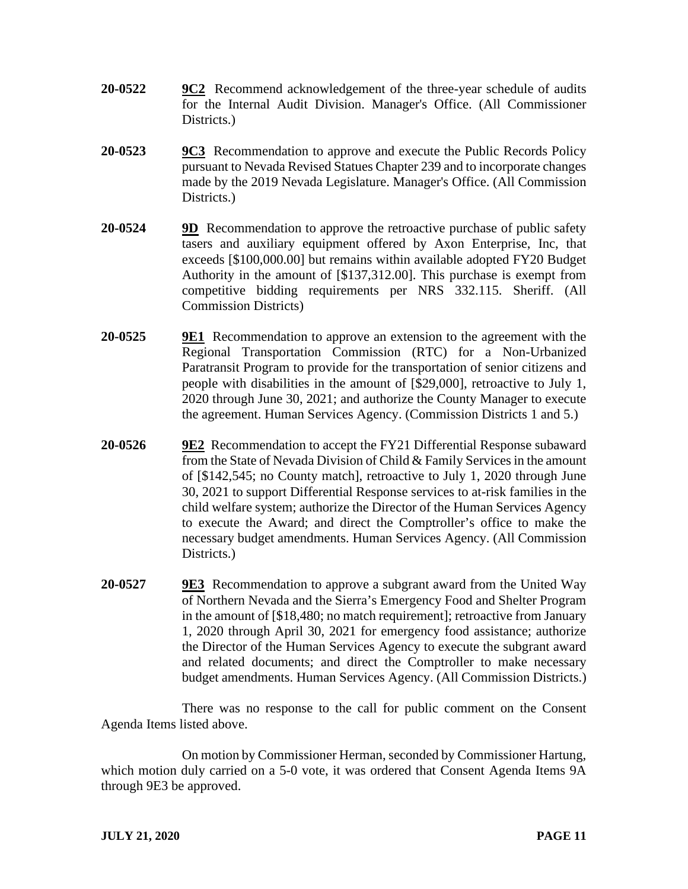- **20-0522 9C2** Recommend acknowledgement of the three-year schedule of audits for the Internal Audit Division. Manager's Office. (All Commissioner Districts.)
- **20-0523 9C3** Recommendation to approve and execute the Public Records Policy pursuant to Nevada Revised Statues Chapter 239 and to incorporate changes made by the 2019 Nevada Legislature. Manager's Office. (All Commission Districts.)
- **20-0524 9D** Recommendation to approve the retroactive purchase of public safety tasers and auxiliary equipment offered by Axon Enterprise, Inc, that exceeds [\$100,000.00] but remains within available adopted FY20 Budget Authority in the amount of [\$137,312.00]. This purchase is exempt from competitive bidding requirements per NRS 332.115. Sheriff. (All Commission Districts)
- **20-0525 9E1** Recommendation to approve an extension to the agreement with the Regional Transportation Commission (RTC) for a Non-Urbanized Paratransit Program to provide for the transportation of senior citizens and people with disabilities in the amount of [\$29,000], retroactive to July 1, 2020 through June 30, 2021; and authorize the County Manager to execute the agreement. Human Services Agency. (Commission Districts 1 and 5.)
- **20-0526 9E2** Recommendation to accept the FY21 Differential Response subaward from the State of Nevada Division of Child & Family Services in the amount of [\$142,545; no County match], retroactive to July 1, 2020 through June 30, 2021 to support Differential Response services to at-risk families in the child welfare system; authorize the Director of the Human Services Agency to execute the Award; and direct the Comptroller's office to make the necessary budget amendments. Human Services Agency. (All Commission Districts.
- **20-0527 9E3** Recommendation to approve a subgrant award from the United Way of Northern Nevada and the Sierra's Emergency Food and Shelter Program in the amount of [\$18,480; no match requirement]; retroactive from January 1, 2020 through April 30, 2021 for emergency food assistance; authorize the Director of the Human Services Agency to execute the subgrant award and related documents; and direct the Comptroller to make necessary budget amendments. Human Services Agency. (All Commission Districts.)

There was no response to the call for public comment on the Consent Agenda Items listed above.

On motion by Commissioner Herman, seconded by Commissioner Hartung, which motion duly carried on a 5-0 vote, it was ordered that Consent Agenda Items 9A through 9E3 be approved.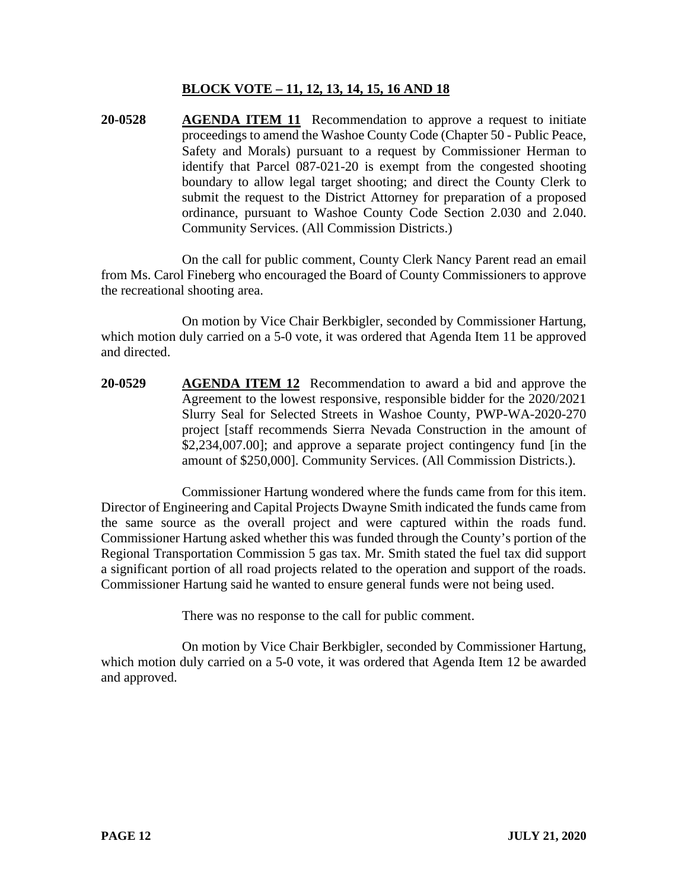# **BLOCK VOTE – 11, 12, 13, 14, 15, 16 AND 18**

**20-0528 AGENDA ITEM 11** Recommendation to approve a request to initiate proceedings to amend the Washoe County Code (Chapter 50 - Public Peace, Safety and Morals) pursuant to a request by Commissioner Herman to identify that Parcel 087-021-20 is exempt from the congested shooting boundary to allow legal target shooting; and direct the County Clerk to submit the request to the District Attorney for preparation of a proposed ordinance, pursuant to Washoe County Code Section 2.030 and 2.040. Community Services. (All Commission Districts.)

On the call for public comment, County Clerk Nancy Parent read an email from Ms. Carol Fineberg who encouraged the Board of County Commissioners to approve the recreational shooting area.

On motion by Vice Chair Berkbigler, seconded by Commissioner Hartung, which motion duly carried on a 5-0 vote, it was ordered that Agenda Item 11 be approved and directed.

**20-0529 AGENDA ITEM 12** Recommendation to award a bid and approve the Agreement to the lowest responsive, responsible bidder for the 2020/2021 Slurry Seal for Selected Streets in Washoe County, PWP-WA-2020-270 project [staff recommends Sierra Nevada Construction in the amount of \$2,234,007.00]; and approve a separate project contingency fund [in the amount of \$250,000]. Community Services. (All Commission Districts.).

Commissioner Hartung wondered where the funds came from for this item. Director of Engineering and Capital Projects Dwayne Smith indicated the funds came from the same source as the overall project and were captured within the roads fund. Commissioner Hartung asked whether this was funded through the County's portion of the Regional Transportation Commission 5 gas tax. Mr. Smith stated the fuel tax did support a significant portion of all road projects related to the operation and support of the roads. Commissioner Hartung said he wanted to ensure general funds were not being used.

There was no response to the call for public comment.

On motion by Vice Chair Berkbigler, seconded by Commissioner Hartung, which motion duly carried on a 5-0 vote, it was ordered that Agenda Item 12 be awarded and approved.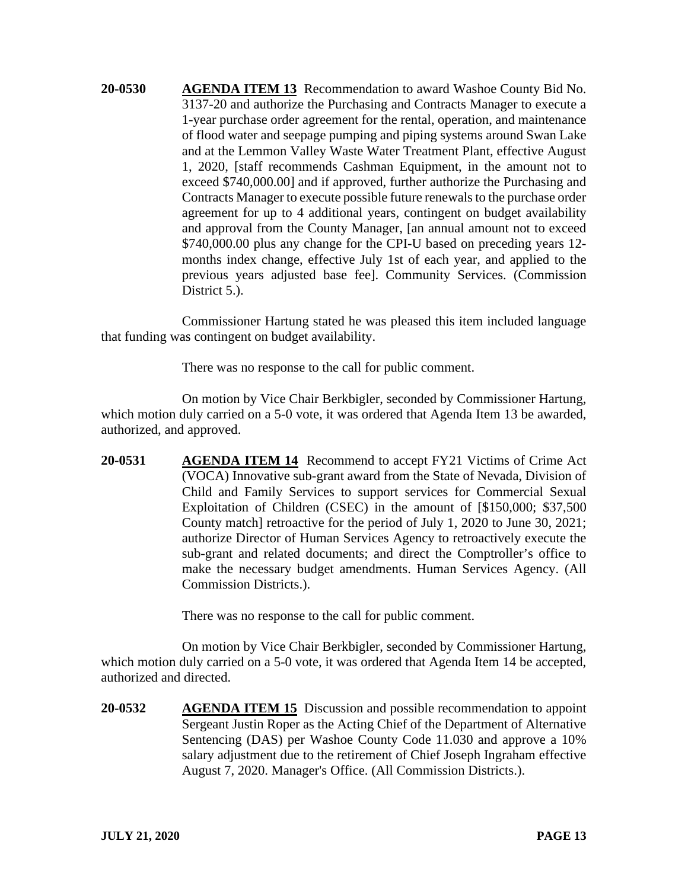**20-0530 AGENDA ITEM 13** Recommendation to award Washoe County Bid No. 3137-20 and authorize the Purchasing and Contracts Manager to execute a 1-year purchase order agreement for the rental, operation, and maintenance of flood water and seepage pumping and piping systems around Swan Lake and at the Lemmon Valley Waste Water Treatment Plant, effective August 1, 2020, [staff recommends Cashman Equipment, in the amount not to exceed \$740,000.00] and if approved, further authorize the Purchasing and Contracts Manager to execute possible future renewals to the purchase order agreement for up to 4 additional years, contingent on budget availability and approval from the County Manager, [an annual amount not to exceed \$740,000.00 plus any change for the CPI-U based on preceding years 12 months index change, effective July 1st of each year, and applied to the previous years adjusted base fee]. Community Services. (Commission District 5.).

Commissioner Hartung stated he was pleased this item included language that funding was contingent on budget availability.

There was no response to the call for public comment.

On motion by Vice Chair Berkbigler, seconded by Commissioner Hartung, which motion duly carried on a 5-0 vote, it was ordered that Agenda Item 13 be awarded, authorized, and approved.

**20-0531 AGENDA ITEM 14** Recommend to accept FY21 Victims of Crime Act (VOCA) Innovative sub-grant award from the State of Nevada, Division of Child and Family Services to support services for Commercial Sexual Exploitation of Children (CSEC) in the amount of [\$150,000; \$37,500 County match] retroactive for the period of July 1, 2020 to June 30, 2021; authorize Director of Human Services Agency to retroactively execute the sub-grant and related documents; and direct the Comptroller's office to make the necessary budget amendments. Human Services Agency. (All Commission Districts.).

There was no response to the call for public comment.

On motion by Vice Chair Berkbigler, seconded by Commissioner Hartung, which motion duly carried on a 5-0 vote, it was ordered that Agenda Item 14 be accepted, authorized and directed.

**20-0532 AGENDA ITEM 15** Discussion and possible recommendation to appoint Sergeant Justin Roper as the Acting Chief of the Department of Alternative Sentencing (DAS) per Washoe County Code 11.030 and approve a 10% salary adjustment due to the retirement of Chief Joseph Ingraham effective August 7, 2020. Manager's Office. (All Commission Districts.).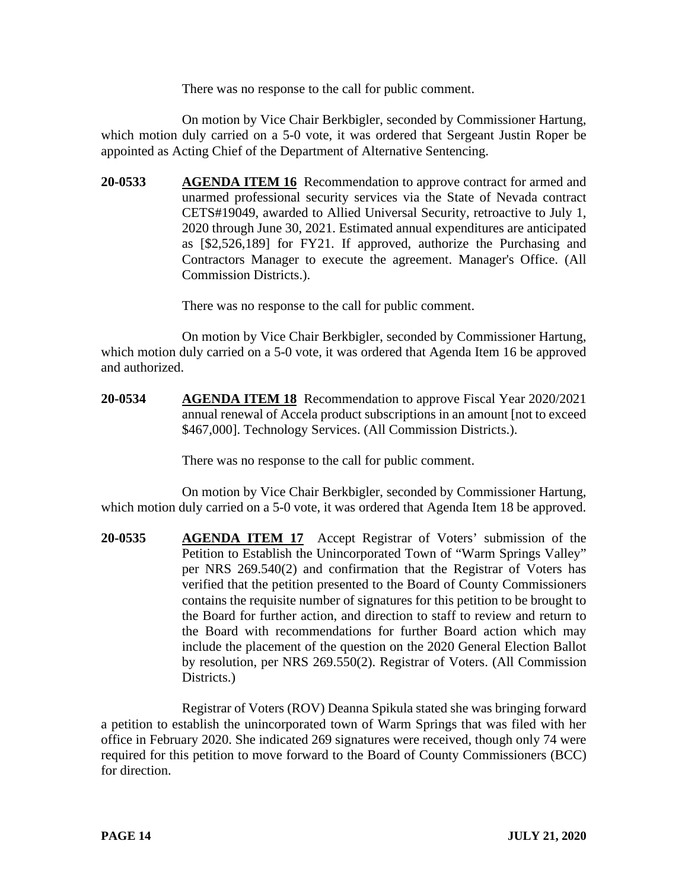There was no response to the call for public comment.

On motion by Vice Chair Berkbigler, seconded by Commissioner Hartung, which motion duly carried on a 5-0 vote, it was ordered that Sergeant Justin Roper be appointed as Acting Chief of the Department of Alternative Sentencing.

**20-0533 AGENDA ITEM 16** Recommendation to approve contract for armed and unarmed professional security services via the State of Nevada contract CETS#19049, awarded to Allied Universal Security, retroactive to July 1, 2020 through June 30, 2021. Estimated annual expenditures are anticipated as [\$2,526,189] for FY21. If approved, authorize the Purchasing and Contractors Manager to execute the agreement. Manager's Office. (All Commission Districts.).

There was no response to the call for public comment.

On motion by Vice Chair Berkbigler, seconded by Commissioner Hartung, which motion duly carried on a 5-0 vote, it was ordered that Agenda Item 16 be approved and authorized.

**20-0534 AGENDA ITEM 18** Recommendation to approve Fiscal Year 2020/2021 annual renewal of Accela product subscriptions in an amount [not to exceed \$467,000]. Technology Services. (All Commission Districts.).

There was no response to the call for public comment.

On motion by Vice Chair Berkbigler, seconded by Commissioner Hartung, which motion duly carried on a 5-0 vote, it was ordered that Agenda Item 18 be approved.

**20-0535 AGENDA ITEM 17** Accept Registrar of Voters' submission of the Petition to Establish the Unincorporated Town of "Warm Springs Valley" per NRS 269.540(2) and confirmation that the Registrar of Voters has verified that the petition presented to the Board of County Commissioners contains the requisite number of signatures for this petition to be brought to the Board for further action, and direction to staff to review and return to the Board with recommendations for further Board action which may include the placement of the question on the 2020 General Election Ballot by resolution, per NRS 269.550(2). Registrar of Voters. (All Commission Districts.

Registrar of Voters (ROV) Deanna Spikula stated she was bringing forward a petition to establish the unincorporated town of Warm Springs that was filed with her office in February 2020. She indicated 269 signatures were received, though only 74 were required for this petition to move forward to the Board of County Commissioners (BCC) for direction.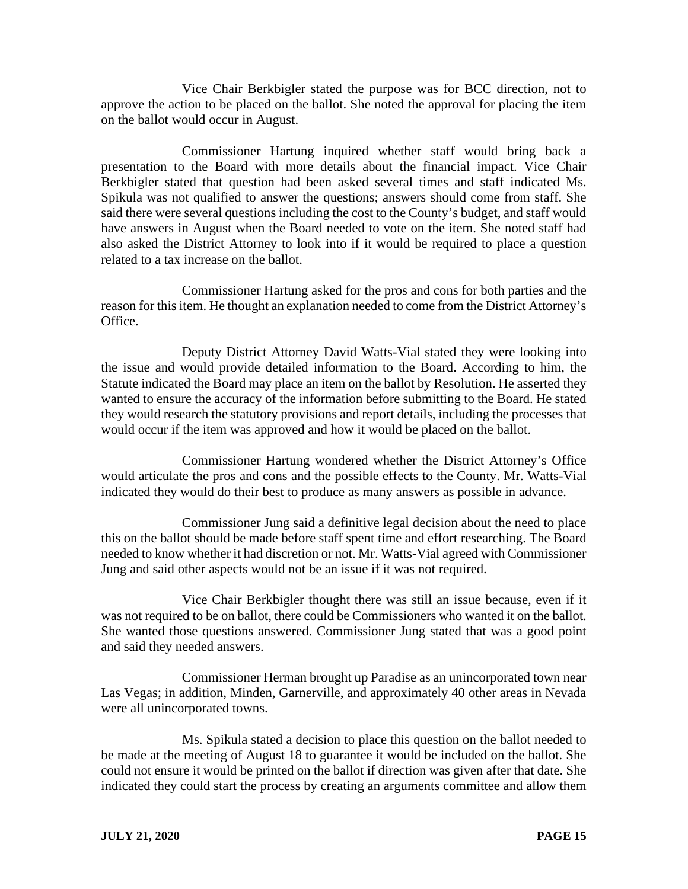Vice Chair Berkbigler stated the purpose was for BCC direction, not to approve the action to be placed on the ballot. She noted the approval for placing the item on the ballot would occur in August.

Commissioner Hartung inquired whether staff would bring back a presentation to the Board with more details about the financial impact. Vice Chair Berkbigler stated that question had been asked several times and staff indicated Ms. Spikula was not qualified to answer the questions; answers should come from staff. She said there were several questions including the cost to the County's budget, and staff would have answers in August when the Board needed to vote on the item. She noted staff had also asked the District Attorney to look into if it would be required to place a question related to a tax increase on the ballot.

Commissioner Hartung asked for the pros and cons for both parties and the reason for this item. He thought an explanation needed to come from the District Attorney's Office.

Deputy District Attorney David Watts-Vial stated they were looking into the issue and would provide detailed information to the Board. According to him, the Statute indicated the Board may place an item on the ballot by Resolution. He asserted they wanted to ensure the accuracy of the information before submitting to the Board. He stated they would research the statutory provisions and report details, including the processes that would occur if the item was approved and how it would be placed on the ballot.

Commissioner Hartung wondered whether the District Attorney's Office would articulate the pros and cons and the possible effects to the County. Mr. Watts-Vial indicated they would do their best to produce as many answers as possible in advance.

Commissioner Jung said a definitive legal decision about the need to place this on the ballot should be made before staff spent time and effort researching. The Board needed to know whether it had discretion or not. Mr. Watts-Vial agreed with Commissioner Jung and said other aspects would not be an issue if it was not required.

Vice Chair Berkbigler thought there was still an issue because, even if it was not required to be on ballot, there could be Commissioners who wanted it on the ballot. She wanted those questions answered. Commissioner Jung stated that was a good point and said they needed answers.

Commissioner Herman brought up Paradise as an unincorporated town near Las Vegas; in addition, Minden, Garnerville, and approximately 40 other areas in Nevada were all unincorporated towns.

Ms. Spikula stated a decision to place this question on the ballot needed to be made at the meeting of August 18 to guarantee it would be included on the ballot. She could not ensure it would be printed on the ballot if direction was given after that date. She indicated they could start the process by creating an arguments committee and allow them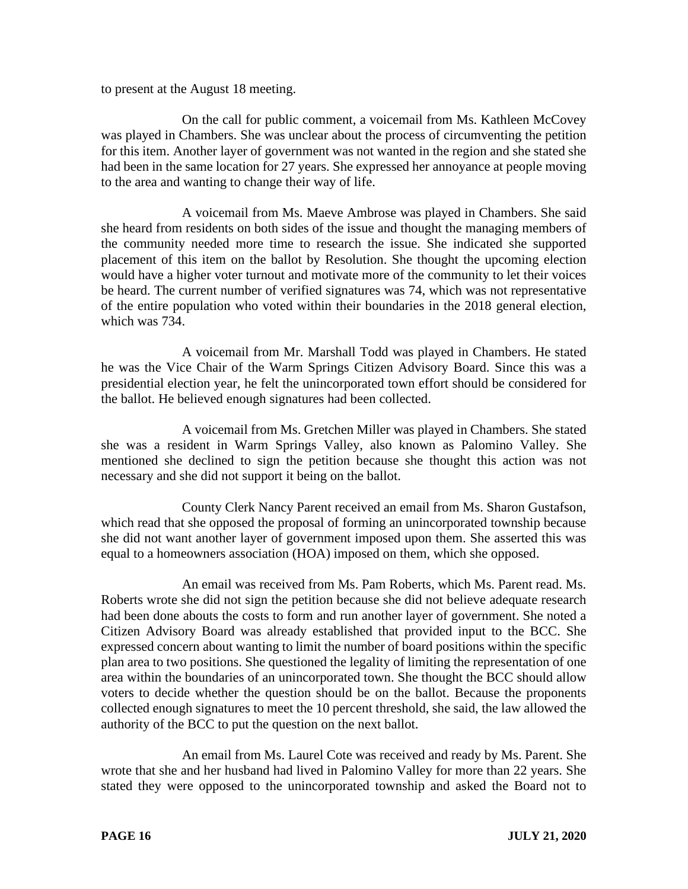to present at the August 18 meeting.

On the call for public comment, a voicemail from Ms. Kathleen McCovey was played in Chambers. She was unclear about the process of circumventing the petition for this item. Another layer of government was not wanted in the region and she stated she had been in the same location for 27 years. She expressed her annoyance at people moving to the area and wanting to change their way of life.

A voicemail from Ms. Maeve Ambrose was played in Chambers. She said she heard from residents on both sides of the issue and thought the managing members of the community needed more time to research the issue. She indicated she supported placement of this item on the ballot by Resolution. She thought the upcoming election would have a higher voter turnout and motivate more of the community to let their voices be heard. The current number of verified signatures was 74, which was not representative of the entire population who voted within their boundaries in the 2018 general election, which was 734.

A voicemail from Mr. Marshall Todd was played in Chambers. He stated he was the Vice Chair of the Warm Springs Citizen Advisory Board. Since this was a presidential election year, he felt the unincorporated town effort should be considered for the ballot. He believed enough signatures had been collected.

A voicemail from Ms. Gretchen Miller was played in Chambers. She stated she was a resident in Warm Springs Valley, also known as Palomino Valley. She mentioned she declined to sign the petition because she thought this action was not necessary and she did not support it being on the ballot.

County Clerk Nancy Parent received an email from Ms. Sharon Gustafson, which read that she opposed the proposal of forming an unincorporated township because she did not want another layer of government imposed upon them. She asserted this was equal to a homeowners association (HOA) imposed on them, which she opposed.

An email was received from Ms. Pam Roberts, which Ms. Parent read. Ms. Roberts wrote she did not sign the petition because she did not believe adequate research had been done abouts the costs to form and run another layer of government. She noted a Citizen Advisory Board was already established that provided input to the BCC. She expressed concern about wanting to limit the number of board positions within the specific plan area to two positions. She questioned the legality of limiting the representation of one area within the boundaries of an unincorporated town. She thought the BCC should allow voters to decide whether the question should be on the ballot. Because the proponents collected enough signatures to meet the 10 percent threshold, she said, the law allowed the authority of the BCC to put the question on the next ballot.

An email from Ms. Laurel Cote was received and ready by Ms. Parent. She wrote that she and her husband had lived in Palomino Valley for more than 22 years. She stated they were opposed to the unincorporated township and asked the Board not to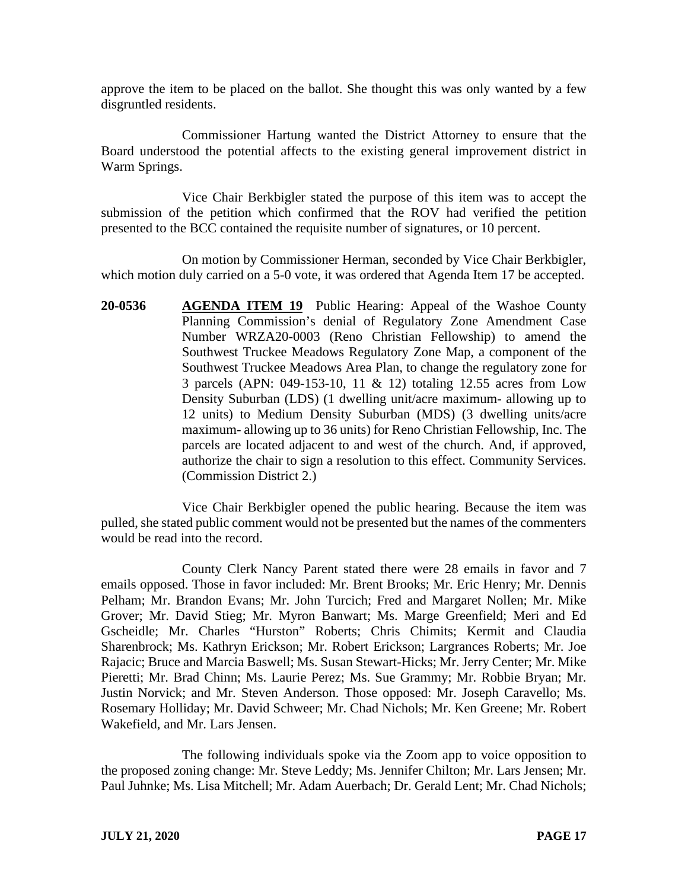approve the item to be placed on the ballot. She thought this was only wanted by a few disgruntled residents.

Commissioner Hartung wanted the District Attorney to ensure that the Board understood the potential affects to the existing general improvement district in Warm Springs.

Vice Chair Berkbigler stated the purpose of this item was to accept the submission of the petition which confirmed that the ROV had verified the petition presented to the BCC contained the requisite number of signatures, or 10 percent.

On motion by Commissioner Herman, seconded by Vice Chair Berkbigler, which motion duly carried on a 5-0 vote, it was ordered that Agenda Item 17 be accepted.

**20-0536 AGENDA ITEM 19** Public Hearing: Appeal of the Washoe County Planning Commission's denial of Regulatory Zone Amendment Case Number WRZA20-0003 (Reno Christian Fellowship) to amend the Southwest Truckee Meadows Regulatory Zone Map, a component of the Southwest Truckee Meadows Area Plan, to change the regulatory zone for 3 parcels (APN: 049-153-10, 11 & 12) totaling 12.55 acres from Low Density Suburban (LDS) (1 dwelling unit/acre maximum- allowing up to 12 units) to Medium Density Suburban (MDS) (3 dwelling units/acre maximum- allowing up to 36 units) for Reno Christian Fellowship, Inc. The parcels are located adjacent to and west of the church. And, if approved, authorize the chair to sign a resolution to this effect. Community Services. (Commission District 2.)

Vice Chair Berkbigler opened the public hearing. Because the item was pulled, she stated public comment would not be presented but the names of the commenters would be read into the record.

County Clerk Nancy Parent stated there were 28 emails in favor and 7 emails opposed. Those in favor included: Mr. Brent Brooks; Mr. Eric Henry; Mr. Dennis Pelham; Mr. Brandon Evans; Mr. John Turcich; Fred and Margaret Nollen; Mr. Mike Grover; Mr. David Stieg; Mr. Myron Banwart; Ms. Marge Greenfield; Meri and Ed Gscheidle; Mr. Charles "Hurston" Roberts; Chris Chimits; Kermit and Claudia Sharenbrock; Ms. Kathryn Erickson; Mr. Robert Erickson; Largrances Roberts; Mr. Joe Rajacic; Bruce and Marcia Baswell; Ms. Susan Stewart-Hicks; Mr. Jerry Center; Mr. Mike Pieretti; Mr. Brad Chinn; Ms. Laurie Perez; Ms. Sue Grammy; Mr. Robbie Bryan; Mr. Justin Norvick; and Mr. Steven Anderson. Those opposed: Mr. Joseph Caravello; Ms. Rosemary Holliday; Mr. David Schweer; Mr. Chad Nichols; Mr. Ken Greene; Mr. Robert Wakefield, and Mr. Lars Jensen.

The following individuals spoke via the Zoom app to voice opposition to the proposed zoning change: Mr. Steve Leddy; Ms. Jennifer Chilton; Mr. Lars Jensen; Mr. Paul Juhnke; Ms. Lisa Mitchell; Mr. Adam Auerbach; Dr. Gerald Lent; Mr. Chad Nichols;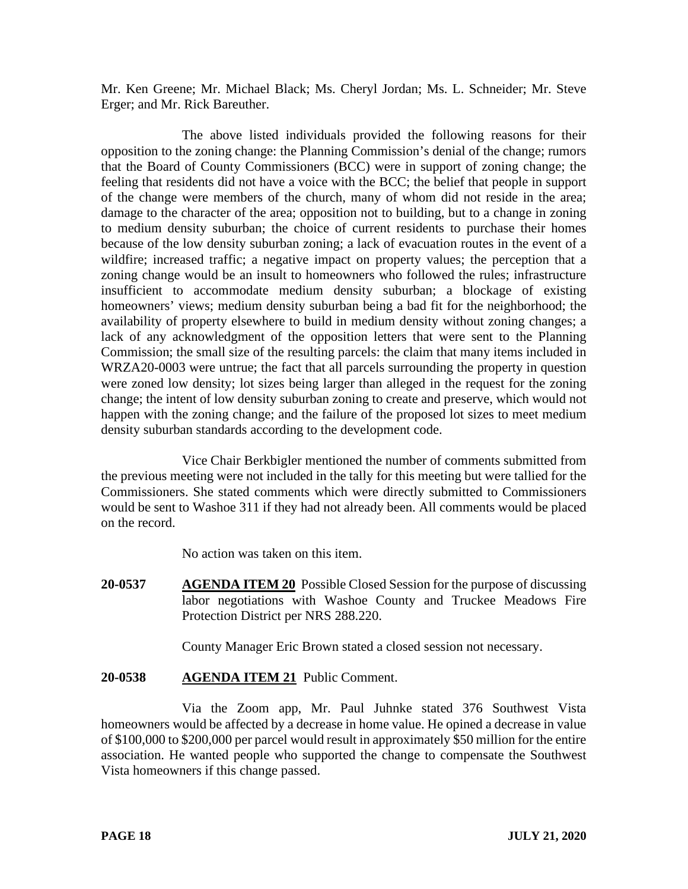Mr. Ken Greene; Mr. Michael Black; Ms. Cheryl Jordan; Ms. L. Schneider; Mr. Steve Erger; and Mr. Rick Bareuther.

The above listed individuals provided the following reasons for their opposition to the zoning change: the Planning Commission's denial of the change; rumors that the Board of County Commissioners (BCC) were in support of zoning change; the feeling that residents did not have a voice with the BCC; the belief that people in support of the change were members of the church, many of whom did not reside in the area; damage to the character of the area; opposition not to building, but to a change in zoning to medium density suburban; the choice of current residents to purchase their homes because of the low density suburban zoning; a lack of evacuation routes in the event of a wildfire; increased traffic; a negative impact on property values; the perception that a zoning change would be an insult to homeowners who followed the rules; infrastructure insufficient to accommodate medium density suburban; a blockage of existing homeowners' views; medium density suburban being a bad fit for the neighborhood; the availability of property elsewhere to build in medium density without zoning changes; a lack of any acknowledgment of the opposition letters that were sent to the Planning Commission; the small size of the resulting parcels: the claim that many items included in WRZA20-0003 were untrue; the fact that all parcels surrounding the property in question were zoned low density; lot sizes being larger than alleged in the request for the zoning change; the intent of low density suburban zoning to create and preserve, which would not happen with the zoning change; and the failure of the proposed lot sizes to meet medium density suburban standards according to the development code.

Vice Chair Berkbigler mentioned the number of comments submitted from the previous meeting were not included in the tally for this meeting but were tallied for the Commissioners. She stated comments which were directly submitted to Commissioners would be sent to Washoe 311 if they had not already been. All comments would be placed on the record.

No action was taken on this item.

**20-0537 AGENDA ITEM 20** Possible Closed Session for the purpose of discussing labor negotiations with Washoe County and Truckee Meadows Fire Protection District per NRS 288.220.

County Manager Eric Brown stated a closed session not necessary.

# **20-0538 AGENDA ITEM 21** Public Comment.

Via the Zoom app, Mr. Paul Juhnke stated 376 Southwest Vista homeowners would be affected by a decrease in home value. He opined a decrease in value of \$100,000 to \$200,000 per parcel would result in approximately \$50 million for the entire association. He wanted people who supported the change to compensate the Southwest Vista homeowners if this change passed.